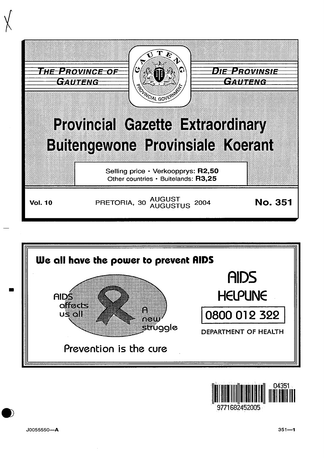





9771682452005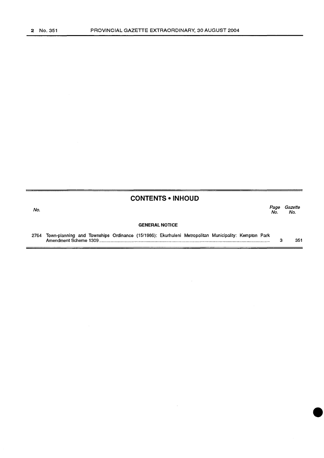## **CONTENTS • INHOUD**

No. Page Gazette No. No.

## **GENERAL NOTICE**

2764 Town-planning and Townships Ordinance (15/1986): Ekurhuleni Metropolitan Municipality: Kempton Park Amendment Scheme 1309 ........................................................................................................................................... . 3 351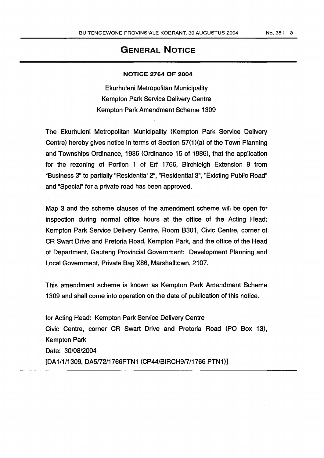## GENERAL NOTICE

## NOTICE 2764 OF 2004

Ekurhuleni Metropolitan Municipality Kempton Park Service Delivery Centre Kempton Park Amendment Scheme 1309

The Ekurhuleni Metropolitan Municipality (Kempton Park Service Delivery Centre) hereby gives notice in terms of Section 57(1 )(a) of the Town Planning and Townships Ordinance, 1986 (Ordinance 15 of 1986), that the application for the rezoning of Portion 1 of Erf 1766, Birchleigh Extension 9 from "Business 3" to partially "Residential2", "Residential3", "Existing Public Road" and "Special" for a private road has been approved.

Map 3 and the scheme clauses of the amendment scheme will be open for inspection during normal office hours at the office of the Acting Head: Kempton Park Service Delivery Centre, Room 8301, Civic Centre, corner of CR Swart Drive and Pretoria Road, Kempton Park, and the office of the Head of Department, Gauteng Provincial Government: Development Planning and Local Government, Private Bag X86, Marshalltown, 2107.

This amendment scheme is known as Kempton Park Amendment Scheme 1309 and shall come into operation on the date of publication of this notice.

for Acting Head: Kempton Park Service Delivery Centre Civic Centre, corner CR Swart Drive and Pretoria Road (PO Box 13), Kempton Park Date: 30/08/2004 [DA1/1/1309, DA5/72/1766PTN1 (CP44/BIRCH9/7/1766 PTN1)]